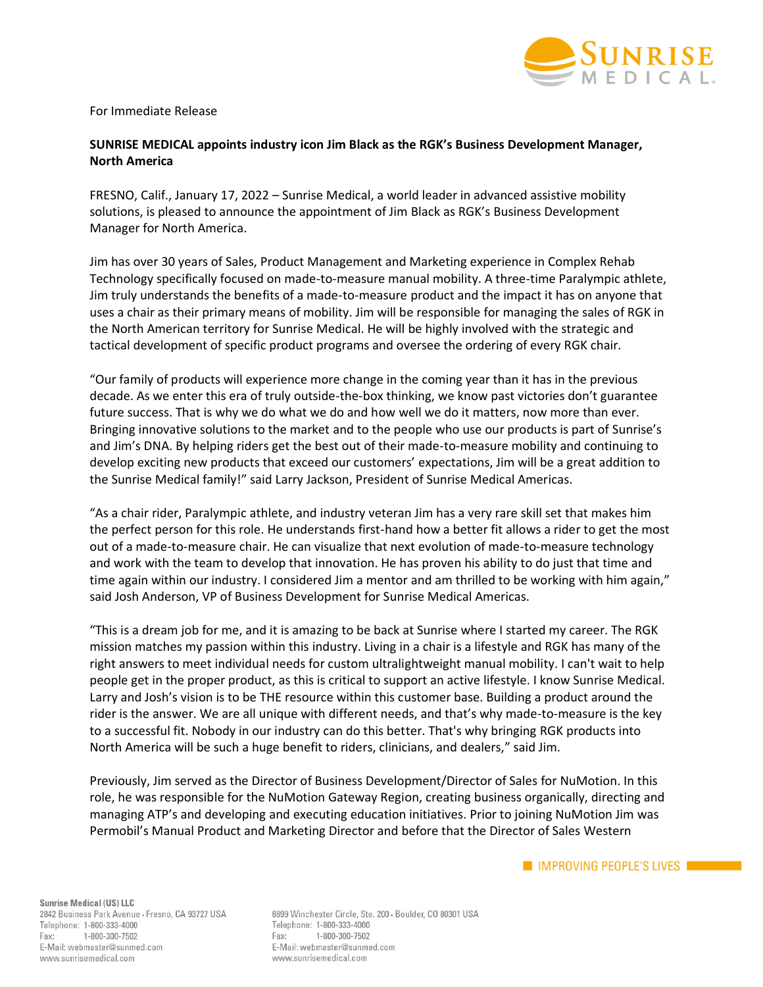

For Immediate Release

## **SUNRISE MEDICAL appoints industry icon Jim Black as the RGK's Business Development Manager, North America**

FRESNO, Calif., January 17, 2022 – Sunrise Medical, a world leader in advanced assistive mobility solutions, is pleased to announce the appointment of Jim Black as RGK's Business Development Manager for North America.

Jim has over 30 years of Sales, Product Management and Marketing experience in Complex Rehab Technology specifically focused on made-to-measure manual mobility. A three-time Paralympic athlete, Jim truly understands the benefits of a made-to-measure product and the impact it has on anyone that uses a chair as their primary means of mobility. Jim will be responsible for managing the sales of RGK in the North American territory for Sunrise Medical. He will be highly involved with the strategic and tactical development of specific product programs and oversee the ordering of every RGK chair.

"Our family of products will experience more change in the coming year than it has in the previous decade. As we enter this era of truly outside-the-box thinking, we know past victories don't guarantee future success. That is why we do what we do and how well we do it matters, now more than ever. Bringing innovative solutions to the market and to the people who use our products is part of Sunrise's and Jim's DNA. By helping riders get the best out of their made-to-measure mobility and continuing to develop exciting new products that exceed our customers' expectations, Jim will be a great addition to the Sunrise Medical family!" said Larry Jackson, President of Sunrise Medical Americas.

"As a chair rider, Paralympic athlete, and industry veteran Jim has a very rare skill set that makes him the perfect person for this role. He understands first-hand how a better fit allows a rider to get the most out of a made-to-measure chair. He can visualize that next evolution of made-to-measure technology and work with the team to develop that innovation. He has proven his ability to do just that time and time again within our industry. I considered Jim a mentor and am thrilled to be working with him again," said Josh Anderson, VP of Business Development for Sunrise Medical Americas.

"This is a dream job for me, and it is amazing to be back at Sunrise where I started my career. The RGK mission matches my passion within this industry. Living in a chair is a lifestyle and RGK has many of the right answers to meet individual needs for custom ultralightweight manual mobility. I can't wait to help people get in the proper product, as this is critical to support an active lifestyle. I know Sunrise Medical. Larry and Josh's vision is to be THE resource within this customer base. Building a product around the rider is the answer. We are all unique with different needs, and that's why made-to-measure is the key to a successful fit. Nobody in our industry can do this better. That's why bringing RGK products into North America will be such a huge benefit to riders, clinicians, and dealers," said Jim.

Previously, Jim served as the Director of Business Development/Director of Sales for NuMotion. In this role, he was responsible for the NuMotion Gateway Region, creating business organically, directing and managing ATP's and developing and executing education initiatives. Prior to joining NuMotion Jim was Permobil's Manual Product and Marketing Director and before that the Director of Sales Western

Sunrise Medical (US) LLC 2842 Business Park Avenue - Fresno, CA 93727 USA Telephone: 1-800-333-4000 Fax: 1-800-300-7502 E-Mail: webmaster@sunmed.com www.sunrisemedical.com

6899 Winchester Circle, Ste. 200 - Boulder, CO 80301 USA Telephone: 1-800-333-4000 Fax: 1-800-300-7502 E-Mail: webmaster@sunmed.com www.sunrisemedical.com